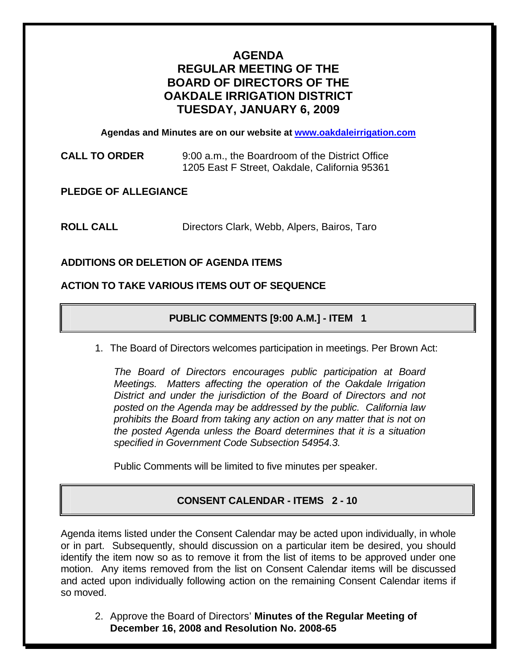# **AGENDA REGULAR MEETING OF THE BOARD OF DIRECTORS OF THE OAKDALE IRRIGATION DISTRICT TUESDAY, JANUARY 6, 2009**

**Agendas and Minutes are on our website at [www.oakdaleirrigation.com](http://www.oakdaleirrigation.com/)**

**CALL TO ORDER** 9:00 a.m., the Boardroom of the District Office 1205 East F Street, Oakdale, California 95361

**PLEDGE OF ALLEGIANCE** 

**ROLL CALL** Directors Clark, Webb, Alpers, Bairos, Taro

# **ADDITIONS OR DELETION OF AGENDA ITEMS**

### **ACTION TO TAKE VARIOUS ITEMS OUT OF SEQUENCE**

# **PUBLIC COMMENTS [9:00 A.M.] - ITEM 1**

1. The Board of Directors welcomes participation in meetings. Per Brown Act:

*The Board of Directors encourages public participation at Board Meetings. Matters affecting the operation of the Oakdale Irrigation District and under the jurisdiction of the Board of Directors and not posted on the Agenda may be addressed by the public. California law prohibits the Board from taking any action on any matter that is not on the posted Agenda unless the Board determines that it is a situation specified in Government Code Subsection 54954.3.*

Public Comments will be limited to five minutes per speaker.

# **CONSENT CALENDAR - ITEMS 2 - 10**

Agenda items listed under the Consent Calendar may be acted upon individually, in whole or in part. Subsequently, should discussion on a particular item be desired, you should identify the item now so as to remove it from the list of items to be approved under one motion. Any items removed from the list on Consent Calendar items will be discussed and acted upon individually following action on the remaining Consent Calendar items if so moved.

2. Approve the Board of Directors' **Minutes of the Regular Meeting of December 16, 2008 and Resolution No. 2008-65**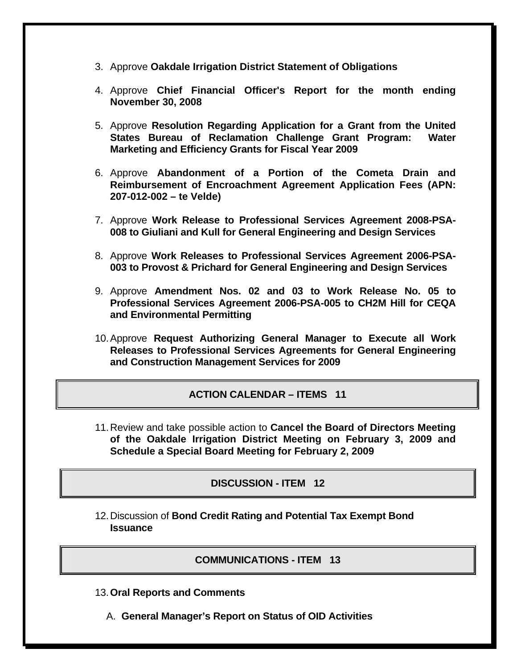- 3. Approve **Oakdale Irrigation District Statement of Obligations**
- 4. Approve **Chief Financial Officer's Report for the month ending November 30, 2008**
- 5. Approve **Resolution Regarding Application for a Grant from the United States Bureau of Reclamation Challenge Grant Program: Water Marketing and Efficiency Grants for Fiscal Year 2009**
- 6. Approve **Abandonment of a Portion of the Cometa Drain and Reimbursement of Encroachment Agreement Application Fees (APN: 207-012-002 – te Velde)**
- 7. Approve **Work Release to Professional Services Agreement 2008-PSA-008 to Giuliani and Kull for General Engineering and Design Services**
- 8. Approve **Work Releases to Professional Services Agreement 2006-PSA-003 to Provost & Prichard for General Engineering and Design Services**
- 9. Approve **Amendment Nos. 02 and 03 to Work Release No. 05 to Professional Services Agreement 2006-PSA-005 to CH2M Hill for CEQA and Environmental Permitting**
- 10. Approve **Request Authorizing General Manager to Execute all Work Releases to Professional Services Agreements for General Engineering and Construction Management Services for 2009**

# **ACTION CALENDAR – ITEMS 11**

11. Review and take possible action to **Cancel the Board of Directors Meeting of the Oakdale Irrigation District Meeting on February 3, 2009 and Schedule a Special Board Meeting for February 2, 2009**

### **DISCUSSION - ITEM 12**

12. Discussion of **Bond Credit Rating and Potential Tax Exempt Bond Issuance**

### **COMMUNICATIONS - ITEM 13**

- 13.**Oral Reports and Comments**
	- A. **General Manager's Report on Status of OID Activities**